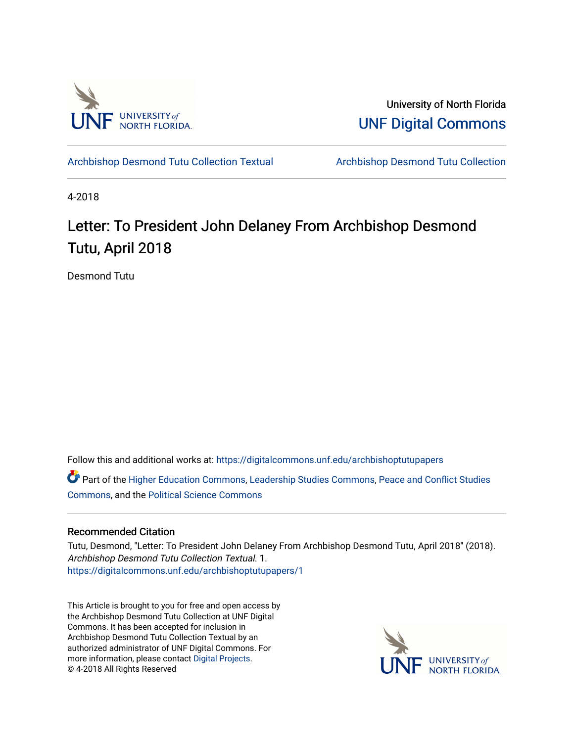

University of North Florida [UNF Digital Commons](https://digitalcommons.unf.edu/) 

[Archbishop Desmond Tutu Collection Textual](https://digitalcommons.unf.edu/archbishoptutupapers) [Archbishop Desmond Tutu Collection](https://digitalcommons.unf.edu/archbishoptutu) 

4-2018

## Letter: To President John Delaney From Archbishop Desmond Tutu, April 2018

Desmond Tutu

Follow this and additional works at: [https://digitalcommons.unf.edu/archbishoptutupapers](https://digitalcommons.unf.edu/archbishoptutupapers?utm_source=digitalcommons.unf.edu%2Farchbishoptutupapers%2F1&utm_medium=PDF&utm_campaign=PDFCoverPages)

Part of the [Higher Education Commons,](http://network.bepress.com/hgg/discipline/1245?utm_source=digitalcommons.unf.edu%2Farchbishoptutupapers%2F1&utm_medium=PDF&utm_campaign=PDFCoverPages) [Leadership Studies Commons,](http://network.bepress.com/hgg/discipline/1250?utm_source=digitalcommons.unf.edu%2Farchbishoptutupapers%2F1&utm_medium=PDF&utm_campaign=PDFCoverPages) [Peace and Conflict Studies](http://network.bepress.com/hgg/discipline/397?utm_source=digitalcommons.unf.edu%2Farchbishoptutupapers%2F1&utm_medium=PDF&utm_campaign=PDFCoverPages) [Commons](http://network.bepress.com/hgg/discipline/397?utm_source=digitalcommons.unf.edu%2Farchbishoptutupapers%2F1&utm_medium=PDF&utm_campaign=PDFCoverPages), and the [Political Science Commons](http://network.bepress.com/hgg/discipline/386?utm_source=digitalcommons.unf.edu%2Farchbishoptutupapers%2F1&utm_medium=PDF&utm_campaign=PDFCoverPages) 

## Recommended Citation

Tutu, Desmond, "Letter: To President John Delaney From Archbishop Desmond Tutu, April 2018" (2018). Archbishop Desmond Tutu Collection Textual. 1. [https://digitalcommons.unf.edu/archbishoptutupapers/1](https://digitalcommons.unf.edu/archbishoptutupapers/1?utm_source=digitalcommons.unf.edu%2Farchbishoptutupapers%2F1&utm_medium=PDF&utm_campaign=PDFCoverPages) 

This Article is brought to you for free and open access by the Archbishop Desmond Tutu Collection at UNF Digital Commons. It has been accepted for inclusion in Archbishop Desmond Tutu Collection Textual by an authorized administrator of UNF Digital Commons. For more information, please contact [Digital Projects](mailto:lib-digital@unf.edu). © 4-2018 All Rights Reserved